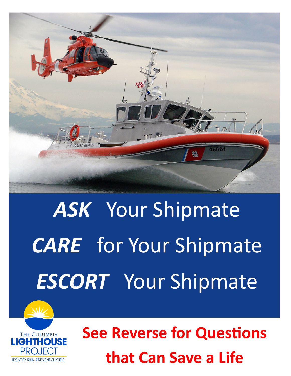

## *ASK* Your Shipmate *CARE* for Your Shipmate *ESCORT* Your Shipmate



**See Reverse for Questions that Can Save a Life**